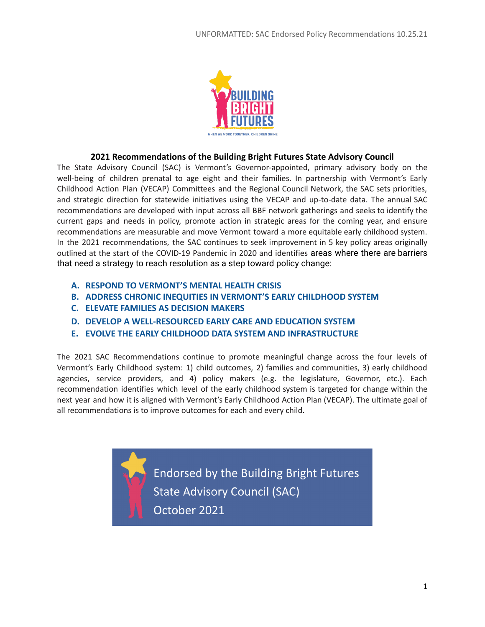

## **2021 Recommendations of the Building Bright Futures State Advisory Council**

The State Advisory Council (SAC) is Vermont's Governor-appointed, primary advisory body on the well-being of children prenatal to age eight and their families. In partnership with Vermont's Early Childhood Action Plan (VECAP) Committees and the Regional Council Network, the SAC sets priorities, and strategic direction for statewide initiatives using the VECAP and up-to-date data. The annual SAC recommendations are developed with input across all BBF network gatherings and seeks to identify the current gaps and needs in policy, promote action in strategic areas for the coming year, and ensure recommendations are measurable and move Vermont toward a more equitable early childhood system. In the 2021 recommendations, the SAC continues to seek improvement in 5 key policy areas originally outlined at the start of the COVID-19 Pandemic in 2020 and identifies areas where there are barriers that need a strategy to reach resolution as a step toward policy change:

- **A. RESPOND TO VERMONT'S MENTAL HEALTH CRISIS**
- **B. ADDRESS CHRONIC INEQUITIES IN VERMONT'S EARLY CHILDHOOD SYSTEM**
- **C. ELEVATE FAMILIES AS DECISION MAKERS**
- **D. DEVELOP A WELL-RESOURCED EARLY CARE AND EDUCATION SYSTEM**
- **E. EVOLVE THE EARLY CHILDHOOD DATA SYSTEM AND INFRASTRUCTURE**

The 2021 SAC Recommendations continue to promote meaningful change across the four levels of Vermont's Early Childhood system: 1) child outcomes, 2) families and communities, 3) early childhood agencies, service providers, and 4) policy makers (e.g. the legislature, Governor, etc.). Each recommendation identifies which level of the early childhood system is targeted for change within the next year and how it is aligned with Vermont's Early Childhood Action Plan (VECAP). The ultimate goal of all recommendations is to improve outcomes for each and every child.

> Endorsed by the Building Bright Futures **State Advisory Council (SAC)** October 2021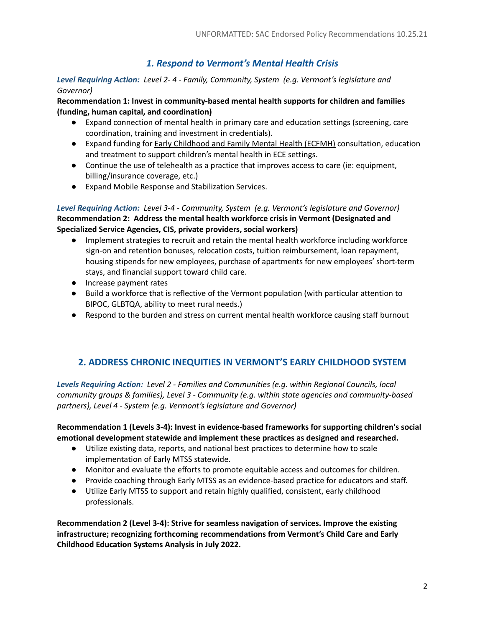# *1. Respond to Vermont's Mental Health Crisis*

#### *Level Requiring Action: Level 2- 4 - Family, Community, System (e.g. Vermont's legislature and Governor)*

**Recommendation 1: Invest in community-based mental health supports for children and families (funding, human capital, and coordination)**

- Expand connection of mental health in primary care and education settings (screening, care coordination, training and investment in credentials).
- Expand funding for **Early Childhood and Family Mental Health (ECFMH)** consultation, education and treatment to support children's mental health in ECE settings.
- Continue the use of telehealth as a practice that improves access to care (ie: equipment, billing/insurance coverage, etc.)
- Expand Mobile Response and Stabilization Services.

*Level Requiring Action: Level 3-4 - Community, System (e.g. Vermont's legislature and Governor)* **Recommendation 2: Address the mental health workforce crisis in Vermont (Designated and Specialized Service Agencies, CIS, private providers, social workers)**

- Implement strategies to recruit and retain the mental health workforce including workforce sign-on and retention bonuses, relocation costs, tuition reimbursement, loan repayment, housing stipends for new employees, purchase of apartments for new employees' short-term stays, and financial support toward child care.
- Increase payment rates
- Build a workforce that is reflective of the Vermont population (with particular attention to BIPOC, GLBTQA, ability to meet rural needs.)
- Respond to the burden and stress on current mental health workforce causing staff burnout

# **2. ADDRESS CHRONIC INEQUITIES IN VERMONT'S EARLY CHILDHOOD SYSTEM**

*Levels Requiring Action: Level 2 - Families and Communities (e.g. within Regional Councils, local community groups & families), Level 3 - Community (e.g. within state agencies and community-based partners), Level 4 - System (e.g. Vermont's legislature and Governor)*

### **Recommendation 1 (Levels 3-4): Invest in evidence-based frameworks for supporting children's social emotional development statewide and implement these practices as designed and researched.**

- Utilize existing data, reports, and national best practices to determine how to scale implementation of Early MTSS statewide.
- Monitor and evaluate the efforts to promote equitable access and outcomes for children.
- Provide coaching through Early MTSS as an evidence-based practice for educators and staff.
- Utilize Early MTSS to support and retain highly qualified, consistent, early childhood professionals.

**Recommendation 2 (Level 3-4): Strive for seamless navigation of services. Improve the existing infrastructure; recognizing forthcoming recommendations from Vermont's Child Care and Early Childhood Education Systems Analysis in July 2022.**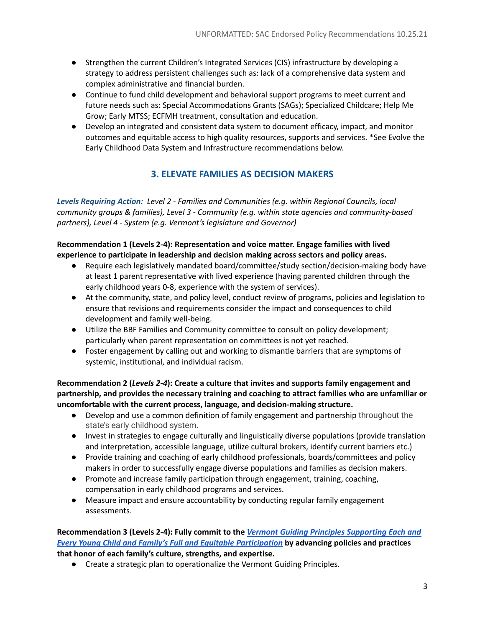- Strengthen the current Children's Integrated Services (CIS) infrastructure by developing a strategy to address persistent challenges such as: lack of a comprehensive data system and complex administrative and financial burden.
- Continue to fund child development and behavioral support programs to meet current and future needs such as: Special Accommodations Grants (SAGs); Specialized Childcare; Help Me Grow; Early MTSS; ECFMH treatment, consultation and education.
- Develop an integrated and consistent data system to document efficacy, impact, and monitor outcomes and equitable access to high quality resources, supports and services. \*See Evolve the Early Childhood Data System and Infrastructure recommendations below.

# **3. ELEVATE FAMILIES AS DECISION MAKERS**

*Levels Requiring Action: Level 2 - Families and Communities (e.g. within Regional Councils, local community groups & families), Level 3 - Community (e.g. within state agencies and community-based partners), Level 4 - System (e.g. Vermont's legislature and Governor)*

### **Recommendation 1 (Levels 2-4): Representation and voice matter. Engage families with lived experience to participate in leadership and decision making across sectors and policy areas.**

- Require each legislatively mandated board/committee/study section/decision-making body have at least 1 parent representative with lived experience (having parented children through the early childhood years 0-8, experience with the system of services).
- At the community, state, and policy level, conduct review of programs, policies and legislation to ensure that revisions and requirements consider the impact and consequences to child development and family well-being.
- Utilize the BBF Families and Community committee to consult on policy development; particularly when parent representation on committees is not yet reached.
- Foster engagement by calling out and working to dismantle barriers that are symptoms of systemic, institutional, and individual racism.

**Recommendation 2 (***Levels 2-4***): Create a culture that invites and supports family engagement and partnership, and provides the necessary training and coaching to attract families who are unfamiliar or uncomfortable with the current process, language, and decision-making structure.**

- Develop and use a common definition of family engagement and partnership throughout the state's early childhood system.
- Invest in strategies to engage culturally and linguistically diverse populations (provide translation and interpretation, accessible language, utilize cultural brokers, identify current barriers etc.)
- Provide training and coaching of early childhood professionals, boards/committees and policy makers in order to successfully engage diverse populations and families as decision makers.
- Promote and increase family participation through engagement, training, coaching, compensation in early childhood programs and services.
- Measure impact and ensure accountability by conducting regular family engagement assessments.

#### **Recommendation 3 (Levels 2-4): Fully commit to the** *Vermont Guiding Principles [Supporting](https://477l7snyayj49hh0r38uhcqo-wpengine.netdna-ssl.com/wp-content/uploads/2019/07/Vermont-Guiding-Principles-AOE-BBF-HMGV-HEECC.pdf) Each and Every Young Child and Family's Full and Equitable [Participation](https://477l7snyayj49hh0r38uhcqo-wpengine.netdna-ssl.com/wp-content/uploads/2019/07/Vermont-Guiding-Principles-AOE-BBF-HMGV-HEECC.pdf)* **by advancing policies and practices that honor of each family's culture, strengths, and expertise.**

● Create a strategic plan to operationalize the Vermont Guiding Principles.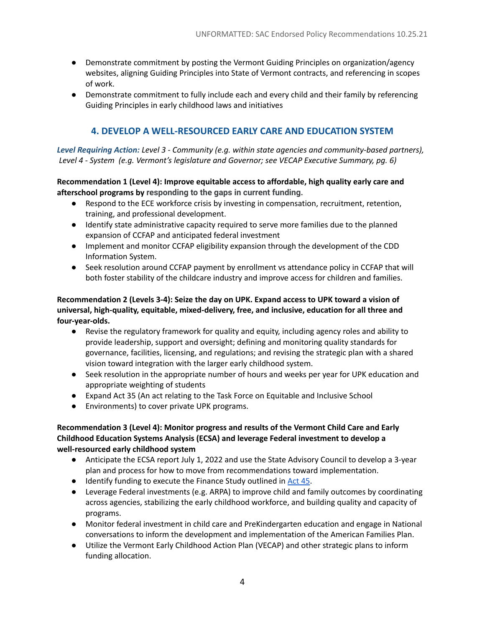- Demonstrate commitment by posting the Vermont Guiding Principles on organization/agency websites, aligning Guiding Principles into State of Vermont contracts, and referencing in scopes of work.
- Demonstrate commitment to fully include each and every child and their family by referencing Guiding Principles in early childhood laws and initiatives

## **4. DEVELOP A WELL-RESOURCED EARLY CARE AND EDUCATION SYSTEM**

*Level Requiring Action: Level 3 - Community (e.g. within state agencies and community-based partners), Level 4 - System (e.g. Vermont's legislature and Governor; see VECAP Executive Summary, pg. 6)*

#### **Recommendation 1 (Level 4): Improve equitable access to affordable, high quality early care and afterschool programs by responding to the gaps in current funding.**

- Respond to the ECE workforce crisis by investing in compensation, recruitment, retention, training, and professional development.
- Identify state administrative capacity required to serve more families due to the planned expansion of CCFAP and anticipated federal investment
- Implement and monitor CCFAP eligibility expansion through the development of the CDD Information System.
- Seek resolution around CCFAP payment by enrollment vs attendance policy in CCFAP that will both foster stability of the childcare industry and improve access for children and families.

**Recommendation 2 (Levels 3-4): Seize the day on UPK. Expand access to UPK toward a vision of universal, high-quality, equitable, mixed-delivery, free, and inclusive, education for all three and four-year-olds.**

- Revise the regulatory framework for quality and equity, including agency roles and ability to provide leadership, support and oversight; defining and monitoring quality standards for governance, facilities, licensing, and regulations; and revising the strategic plan with a shared vision toward integration with the larger early childhood system.
- Seek resolution in the appropriate number of hours and weeks per year for UPK education and appropriate weighting of students
- Expand Act 35 (An act relating to the Task Force on Equitable and Inclusive School
- Environments) to cover private UPK programs.

#### **Recommendation 3 (Level 4): Monitor progress and results of the Vermont Child Care and Early Childhood Education Systems Analysis (ECSA) and leverage Federal investment to develop a well-resourced early childhood system**

- Anticipate the ECSA report July 1, 2022 and use the State Advisory Council to develop a 3-year plan and process for how to move from recommendations toward implementation.
- Identify funding to execute the Finance Study outlined in [Act](https://legislature.vermont.gov/Documents/2022/Docs/ACTS/ACT045/ACT045%20As%20Enacted.pdf) 45.
- Leverage Federal investments (e.g. ARPA) to improve child and family outcomes by coordinating across agencies, stabilizing the early childhood workforce, and building quality and capacity of programs.
- Monitor federal investment in child care and PreKindergarten education and engage in National conversations to inform the development and implementation of the American Families Plan.
- Utilize the Vermont Early Childhood Action Plan (VECAP) and other strategic plans to inform funding allocation.